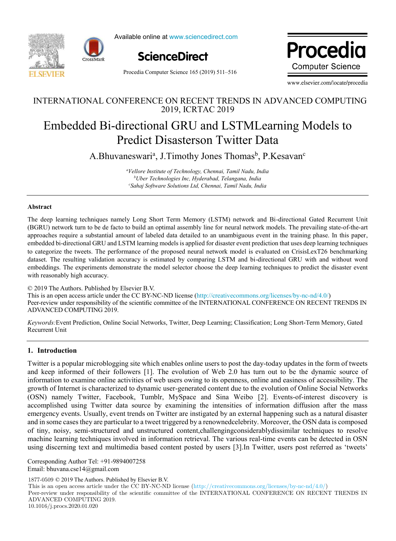



Available online at www.sciencedirect.com



Procedia Computer Science 165 (2019) 511–516

Procedi **Computer Science** 

www.elsevier.com/locate/procedia

## INTERNATIONAL CONFERENCE ON RECENT TRENDS IN ADVANCED COMPUTING 2019, ICRTAC 2019

# Embedded Bi-directional GRU and LSTMLearning Models to Predict Disasterson Twitter Data

A.Bhuvaneswari<sup>a</sup>, J.Timothy Jones Thomas<sup>b</sup>, P.Kesavan<sup>c</sup>

*<sup>a</sup>Vellore Institute of Technology, Chennai, Tamil Nadu, India <sup>b</sup>Uber Technologies Inc, Hyderabad, Telangana, India <sup>c</sup>Sahaj Software Solutions Ltd, Chennai, Tamil Nadu, India*

#### **Abstract**

The deep learning techniques namely Long Short Term Memory (LSTM) network and Bi-directional Gated Recurrent Unit (BGRU) network turn to be de facto to build an optimal assembly line for neural network models. The prevailing state-of-the-art approaches require a substantial amount of labeled data detailed to an unambiguous event in the training phase. In this paper, embedded bi-directional GRU and LSTM learning models is applied for disaster event prediction that uses deep learning techniques to categorize the tweets. The performance of the proposed neural network model is evaluated on CrisisLexT26 benchmarking dataset. The resulting validation accuracy is estimated by comparing LSTM and bi-directional GRU with and without word embeddings. The experiments demonstrate the model selector choose the deep learning techniques to predict the disaster event with reasonably high accuracy.

© 2019 The Authors. Published by Elsevier B.V. This is an open access article under the CC BY-NC-ND license (http://creativecommons.org/licenses/by-nc-nd/4.0/) Peer-review under responsibility of the scientific committee of the INTERNATIONAL CONFERENCE ON RECENT TRENDS IN ADVANCED COMPUTING 2019.

*Keywords:*Event Prediction, Online Social Networks, Twitter, Deep Learning; Classification; Long Short-Term Memory, Gated Recurrent Unit

## **1. Introduction**

Twitter is a popular microblogging site which enables online users to post the day-today updates in the form of tweets and keep informed of their followers [1]. The evolution of Web 2.0 has turn out to be the dynamic source of information to examine online activities of web users owing to its openness, online and easiness of accessibility. The growth of Internet is characterized to dynamic user-generated content due to the evolution of Online Social Networks (OSN) namely Twitter, Facebook, Tumblr, MySpace and Sina Weibo [2]. Events-of-interest discovery is accomplished using Twitter data source by examining the intensities of information diffusion after the mass emergency events. Usually, event trends on Twitter are instigated by an external happening such as a natural disaster and in some cases they are particular to a tweet triggered by a renownedcelebrity. Moreover, the OSN data is composed of tiny, noisy, semi-structured and unstructured content,challengingconsiderablydissimilar techniques to resolve machine learning techniques involved in information retrieval. The various real-time events can be detected in OSN using discerning text and multimedia based content posted by users [3].In Twitter, users post referred as 'tweets'

Corresponding Author Tel: +91-9894007258 Email: bhuvana.cse14@gmail.com

1877-0509 © 2019 The Authors. Published by Elsevier B.V.

This is an open access article under the CC BY-NC-ND license (http://creativecommons.org/licenses/by-nc-nd/4.0/)

Peer-review under responsibility of the scientific committee of the INTERNATIONAL CONFERENCE ON RECENT TRENDS IN ADVANCED COMPUTING 2019. 10.1016/j.procs.2020.01.020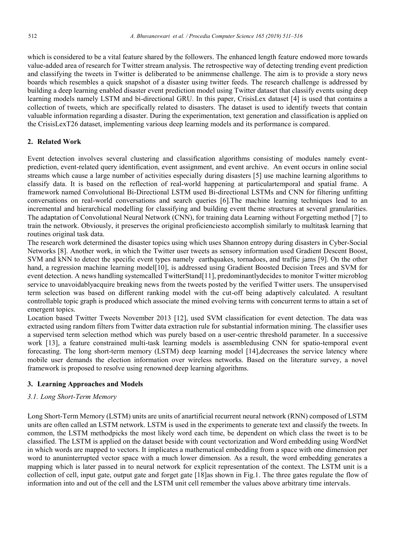which is considered to be a vital feature shared by the followers. The enhanced length feature endowed more towards value-added area of research for Twitter stream analysis. The retrospective way of detecting trending event prediction and classifying the tweets in Twitter is deliberated to be animmense challenge. The aim is to provide a story news boards which resembles a quick snapshot of a disaster using twitter feeds. The research challenge is addressed by building a deep learning enabled disaster event prediction model using Twitter dataset that classify events using deep learning models namely LSTM and bi-directional GRU. In this paper, CrisisLex dataset [4] is used that contains a collection of tweets, which are specifically related to disasters. The dataset is used to identify tweets that contain valuable information regarding a disaster. During the experimentation, text generation and classification is applied on the CrisisLexT26 dataset, implementing various deep learning models and its performance is compared.

## **2. Related Work**

Event detection involves several clustering and classification algorithms consisting of modules namely eventprediction, event-related query identification, event assignment, and event archive. An event occurs in online social streams which cause a large number of activities especially during disasters [5] use machine learning algorithms to classify data. It is based on the reflection of real-world happening at particulartemporal and spatial frame. A framework named Convolutional Bi-Directional LSTM used Bi-directional LSTMs and CNN for filtering unfitting conversations on real-world conversations and search queries [6].The machine learning techniques lead to an incremental and hierarchical modelling for classifying and building event theme structures at several granularities. The adaptation of Convolutional Neural Network (CNN), for training data Learning without Forgetting method [7] to train the network. Obviously, it preserves the original proficienciesto accomplish similarly to multitask learning that routines original task data.

The research work determined the disaster topics using which uses Shannon entropy during disasters in Cyber-Social Networks [8]. Another work, in which the Twitter user tweets as sensory information used Gradient Descent Boost, SVM and kNN to detect the specific event types namely earthquakes, tornadoes, and traffic jams [9]. On the other hand, a regression machine learning model[10], is addressed using Gradient Boosted Decision Trees and SVM for event detection. A news handling systemcalled TwitterStand[11], predominantlydecides to monitor Twitter microblog service to unavoidablyacquire breaking news from the tweets posted by the verified Twitter users. The unsupervised term selection was based on different ranking model with the cut-off being adaptively calculated. A resultant controllable topic graph is produced which associate the mined evolving terms with concurrent terms to attain a set of emergent topics.

Location based Twitter Tweets November 2013 [12], used SVM classification for event detection. The data was extracted using random filters from Twitter data extraction rule for substantial information mining. The classifier uses a supervised term selection method which was purely based on a user-centric threshold parameter. In a successive work [13], a feature constrained multi-task learning models is assembledusing CNN for spatio-temporal event forecasting. The long short-term memory (LSTM) deep learning model [14],decreases the service latency where mobile user demands the election information over wireless networks. Based on the literature survey, a novel framework is proposed to resolve using renowned deep learning algorithms.

## **3. Learning Approaches and Models**

## *3.1. Long Short-Term Memory*

Long Short-Term Memory (LSTM) units are units of anartificial recurrent neural network (RNN) composed of LSTM units are often called an LSTM network. LSTM is used in the experiments to generate text and classify the tweets. In common, the LSTM methodpicks the most likely word each time, be dependent on which class the tweet is to be classified. The LSTM is applied on the dataset beside with count vectorization and Word embedding using WordNet in which words are mapped to vectors. It implicates a mathematical embedding from a space with one dimension per word to anuninterrupted vector space with a much lower dimension. As a result, the word embedding generates a mapping which is later passed in to neural network for explicit representation of the context. The LSTM unit is a collection of cell, input gate, output gate and forget gate [18]as shown in Fig.1. The three gates regulate the flow of information into and out of the cell and the LSTM unit cell remember the values above arbitrary time intervals.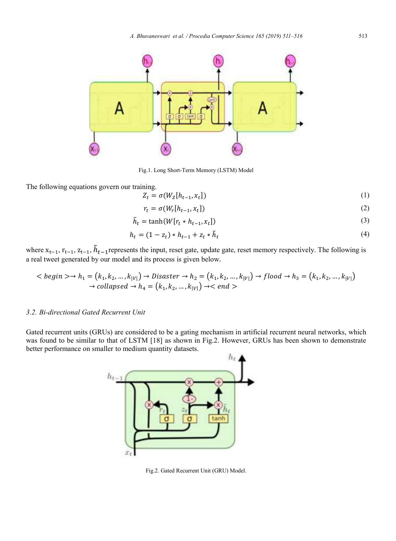

Fig.1. Long Short-Term Memory (LSTM) Model

The following equations govern our training.

$$
Z_t = \sigma(W_Z[h_{t-1}, x_t])
$$
\n<sup>(1)</sup>

$$
r_t = \sigma(W_r[h_{t-1}, x_t])
$$
\n<sup>(2)</sup>

$$
\tilde{h}_t = \tanh(W[r_t * h_{t-1}, x_t]) \tag{3}
$$

$$
h_t = (1 - z_t) * h_{t-1} + z_t * \tilde{h}_t
$$
\n(4)

where  $x_{t-1}$ ,  $r_{t-1}$ ,  $z_{t-1}$ ,  $h_{t-1}$ represents the input, reset gate, update gate, reset memory respectively. The following is a real tweet generated by our model and its process is given below.

$$
\langle begin \rangle \rightarrow h_1 = (k_1, k_2, ..., k_{|V|}) \rightarrow Disaster \rightarrow h_2 = (k_1, k_2, ..., k_{|V|}) \rightarrow flood \rightarrow h_3 = (k_1, k_2, ..., k_{|V|}) \rightarrow collapped \rightarrow h_4 = (k_1, k_2, ..., k_{|V|}) \rightarrow \langle end \rangle
$$

## *3.2. Bi-directional Gated Recurrent Unit*

Gated recurrent units (GRUs) are considered to be a gating mechanism in artificial recurrent neural networks, which was found to be similar to that of LSTM [18] as shown in Fig.2. However, GRUs has been shown to demonstrate better performance on smaller to medium quantity datasets.



Fig.2. Gated Recurrent Unit (GRU) Model.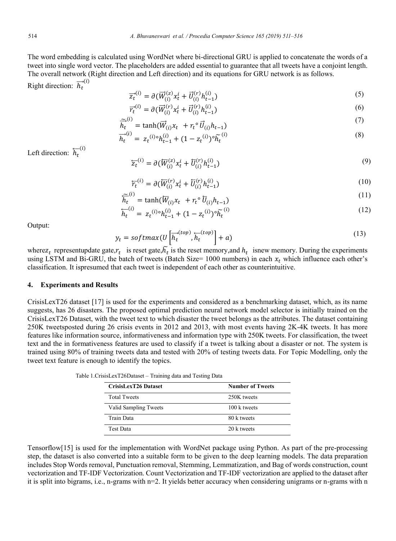The word embedding is calculated using WordNet where bi-directional GRU is applied to concatenate the words of a tweet into single word vector. The placeholders are added essential to guarantee that all tweets have a conjoint length. The overall network (Right direction and Left direction) and its equations for GRU network is as follows.

Right direction:  $\overrightarrow{h_t}^{(l)}$ 

$$
\overline{z}_{t}^{(i)} = \partial(\overline{W}_{(i)}^{(z)} x_{t}^{i} + \overrightarrow{U}_{(i)}^{(r)} h_{t-1}^{(i)})
$$
\n(5)

$$
\overline{r}_{t}^{(i)} = \partial(\overline{W}_{(i)}^{(r)} x_{t}^{i} + \overline{U}_{(i)}^{(r)} h_{t-1}^{(i)})
$$
\n(6)

$$
\widetilde{\overline{h}}_t^{(i)} = \tanh(\overrightarrow{W}_{(i)} x_t + r_t^{\circ} \overrightarrow{U}_{(i)} h_{t-1})
$$
\n<sup>(7)</sup>

$$
\overrightarrow{h_t}^{(i)} = z_t^{(i)} \, \circ \, h_{t-1}^{(i)} + (1 - z_t^{(i)}) \, \circ \, \widetilde{h_t}^{(i)} \tag{8}
$$

Left direction:  $\overleftarrow{h_t}^{(l)}$ 

$$
\overleftarrow{z_t}^{(i)} = \partial(\overleftarrow{W}_{(i)}^{(z)} x_t^i + \overleftarrow{U}_{(i)}^{(r)} h_{t-1}^{(i)})
$$
\n(9)

$$
\overline{r}_t^{(i)} = \partial(\overline{W}_{(i)}^{(r)} x_t^i + \overline{U}_{(i)}^{(r)} h_{t-1}^{(i)})
$$
\n(10)

$$
\widetilde{\overline{h}}_t^{(i)} = \tanh(\overline{W}_{(i)} x_t + r_t \circ \overline{U}_{(i)} h_{t-1})
$$
\n(11)

$$
\overleftarrow{h_t}^{(i)} = z_t^{(i)\circ} h_{t-1}^{(i)} + (1 - z_t^{(i)})^\circ \widetilde{h_t}^{(i)}
$$
\n(12)

Output:

$$
y_t = softmax(U\left[\overline{h}_t^{(top)}, \overline{h}_t^{(top)}\right] + a)
$$
\n(13)

where  $z_t$  representupdate gate, $r_t$  is reset gate, $h_t$  is the reset memory, and  $h_t$  isnew memory. During the experiments using LSTM and Bi-GRU, the batch of tweets (Batch Size=  $1000$  numbers) in each  $x_t$  which influence each other's classification. It ispresumed that each tweet is independent of each other as counterintuitive.

## **4. Experiments and Results**

CrisisLexT26 dataset [17] is used for the experiments and considered as a benchmarking dataset, which, as its name suggests, has 26 disasters. The proposed optimal prediction neural network model selector is initially trained on the CrisisLexT26 Dataset, with the tweet text to which disaster the tweet belongs as the attributes. The dataset containing 250K tweetsposted during 26 crisis events in 2012 and 2013, with most events having 2K-4K tweets. It has more features like information source, informativeness and information type with 250K tweets. For classification, the tweet text and the in formativeness features are used to classify if a tweet is talking about a disaster or not. The system is trained using 80% of training tweets data and tested with 20% of testing tweets data. For Topic Modelling, only the tweet text feature is enough to identify the topics.

| <b>CrisisLexT26 Dataset</b> | <b>Number of Tweets</b> |  |
|-----------------------------|-------------------------|--|
| <b>Total Tweets</b>         | 250K tweets             |  |
| Valid Sampling Tweets       | $100 \text{ k tweets}$  |  |
| Train Data                  | 80 k tweets             |  |
| <b>Test Data</b>            | 20 k tweets             |  |

Table 1.CrisisLexT26Dataset – Training data and Testing Data

Tensorflow[15] is used for the implementation with WordNet package using Python. As part of the pre-processing step, the dataset is also converted into a suitable form to be given to the deep learning models. The data preparation includes Stop Words removal, Punctuation removal, Stemming, Lemmatization, and Bag of words construction, count vectorization and TF-IDF Vectorization. Count Vectorization and TF-IDF vectorization are applied to the dataset after it is split into bigrams, i.e., n-grams with n=2. It yields better accuracy when considering unigrams or n-grams with n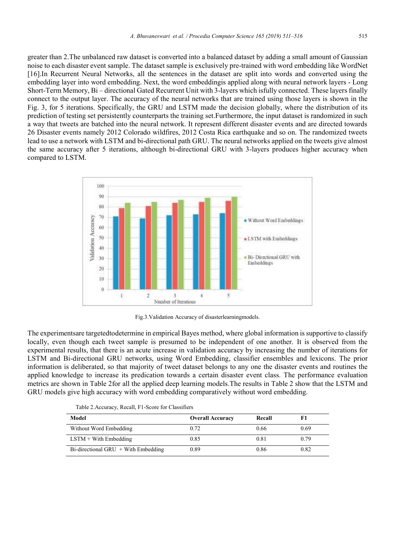greater than 2.The unbalanced raw dataset is converted into a balanced dataset by adding a small amount of Gaussian noise to each disaster event sample. The dataset sample is exclusively pre-trained with word embedding like WordNet [16].In Recurrent Neural Networks, all the sentences in the dataset are split into words and converted using the embedding layer into word embedding. Next, the word embeddingis applied along with neural network layers - Long Short-Term Memory, Bi – directional Gated Recurrent Unit with 3-layers which isfully connected. These layers finally connect to the output layer. The accuracy of the neural networks that are trained using those layers is shown in the Fig. 3, for 5 iterations. Specifically, the GRU and LSTM made the decision globally, where the distribution of its prediction of testing set persistently counterparts the training set.Furthermore, the input dataset is randomized in such a way that tweets are batched into the neural network. It represent different disaster events and are directed towards 26 Disaster events namely 2012 Colorado wildfires, 2012 Costa Rica earthquake and so on. The randomized tweets lead to use a network with LSTM and bi-directional path GRU. The neural networks applied on the tweets give almost the same accuracy after 5 iterations, although bi-directional GRU with 3-layers produces higher accuracy when compared to LSTM.



Fig.3.Validation Accuracy of disasterlearningmodels.

The experimentsare targetedtodetermine in empirical Bayes method, where global information is supportive to classify locally, even though each tweet sample is presumed to be independent of one another. It is observed from the experimental results, that there is an acute increase in validation accuracy by increasing the number of iterations for LSTM and Bi-directional GRU networks, using Word Embedding, classifier ensembles and lexicons. The prior information is deliberated, so that majority of tweet dataset belongs to any one the disaster events and routines the applied knowledge to increase its predication towards a certain disaster event class. The performance evaluation metrics are shown in Table 2for all the applied deep learning models.The results in Table 2 show that the LSTM and GRU models give high accuracy with word embedding comparatively without word embedding.

| Table 2. Accuracy, Recall, 11-Score for Classificis |                         |        |      |  |
|-----------------------------------------------------|-------------------------|--------|------|--|
| Model                                               | <b>Overall Accuracy</b> | Recall |      |  |
| Without Word Embedding                              | 0.72                    | 0.66   | 0.69 |  |
| $LSTM + With Embedding$                             | 0.85                    | 0.81   | 0.79 |  |

 $Bi\text{-directional GRU} + With Embedding$  0.89 0.86 0.82